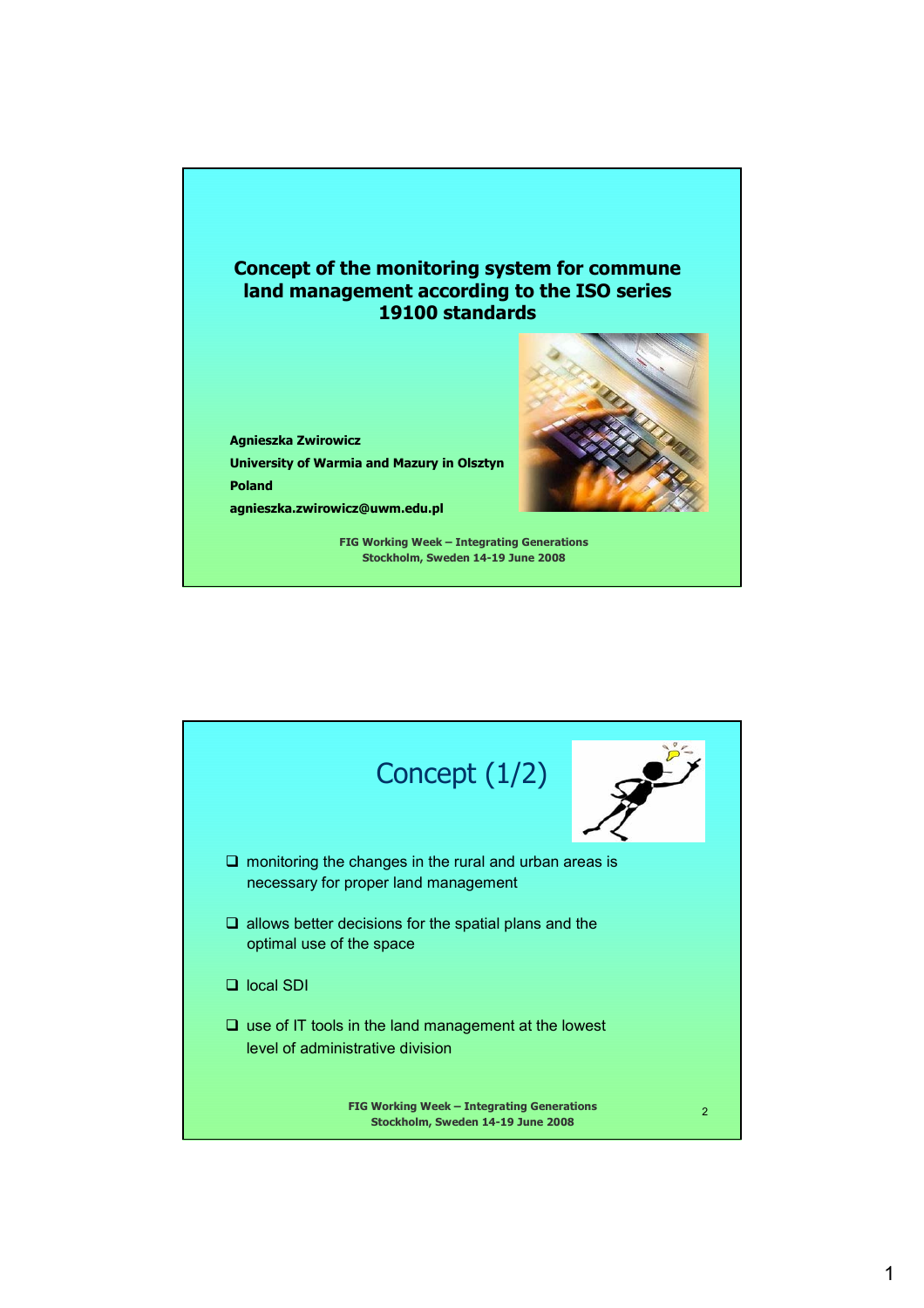

**Agnieszka Zwirowicz University of Warmia and Mazury in Olsztyn Poland agnieszka.zwirowicz@uwm.edu.pl**



**FIG Working Week – Integrating Generations Stockholm, Sweden 14-19 June 2008**

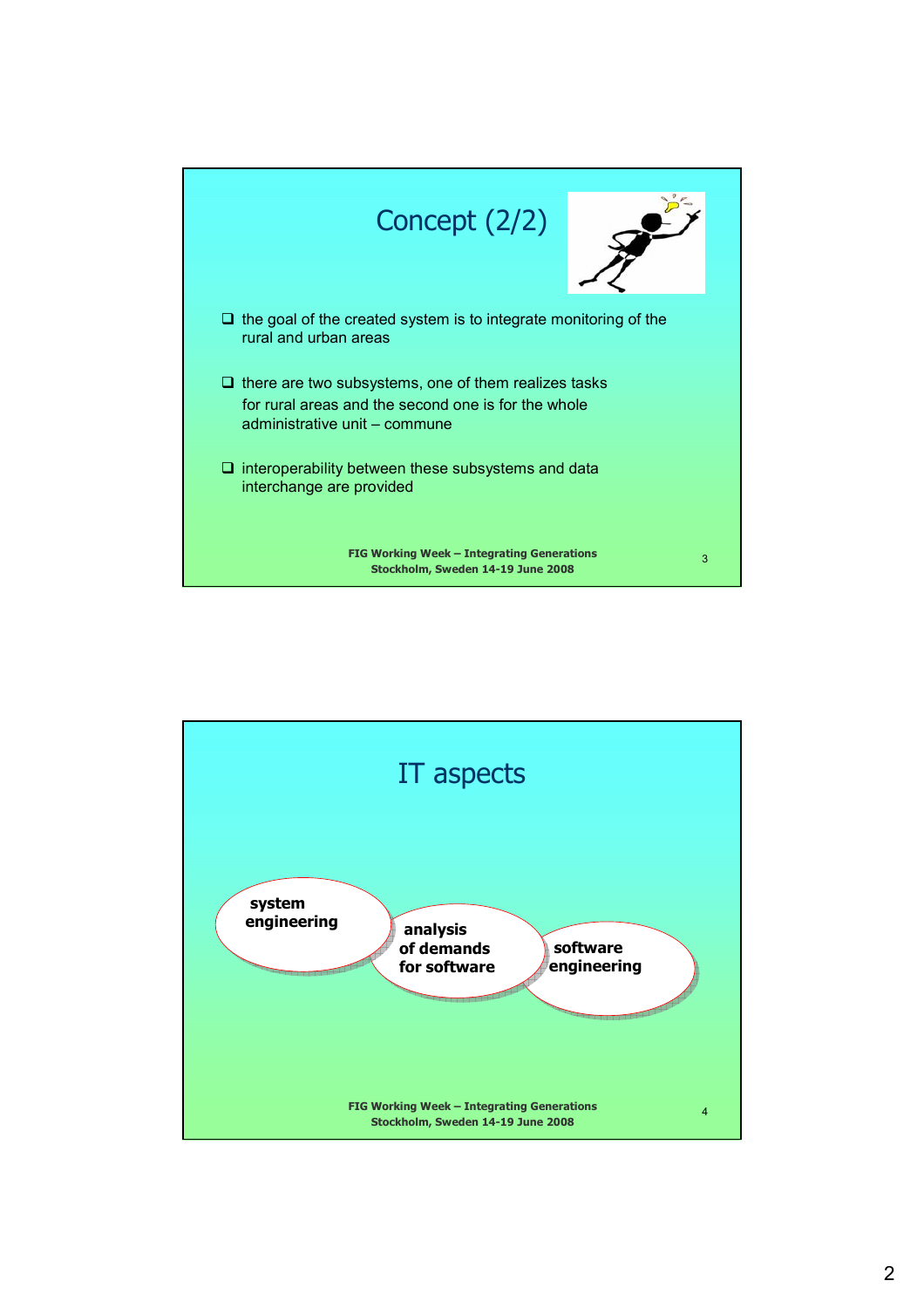

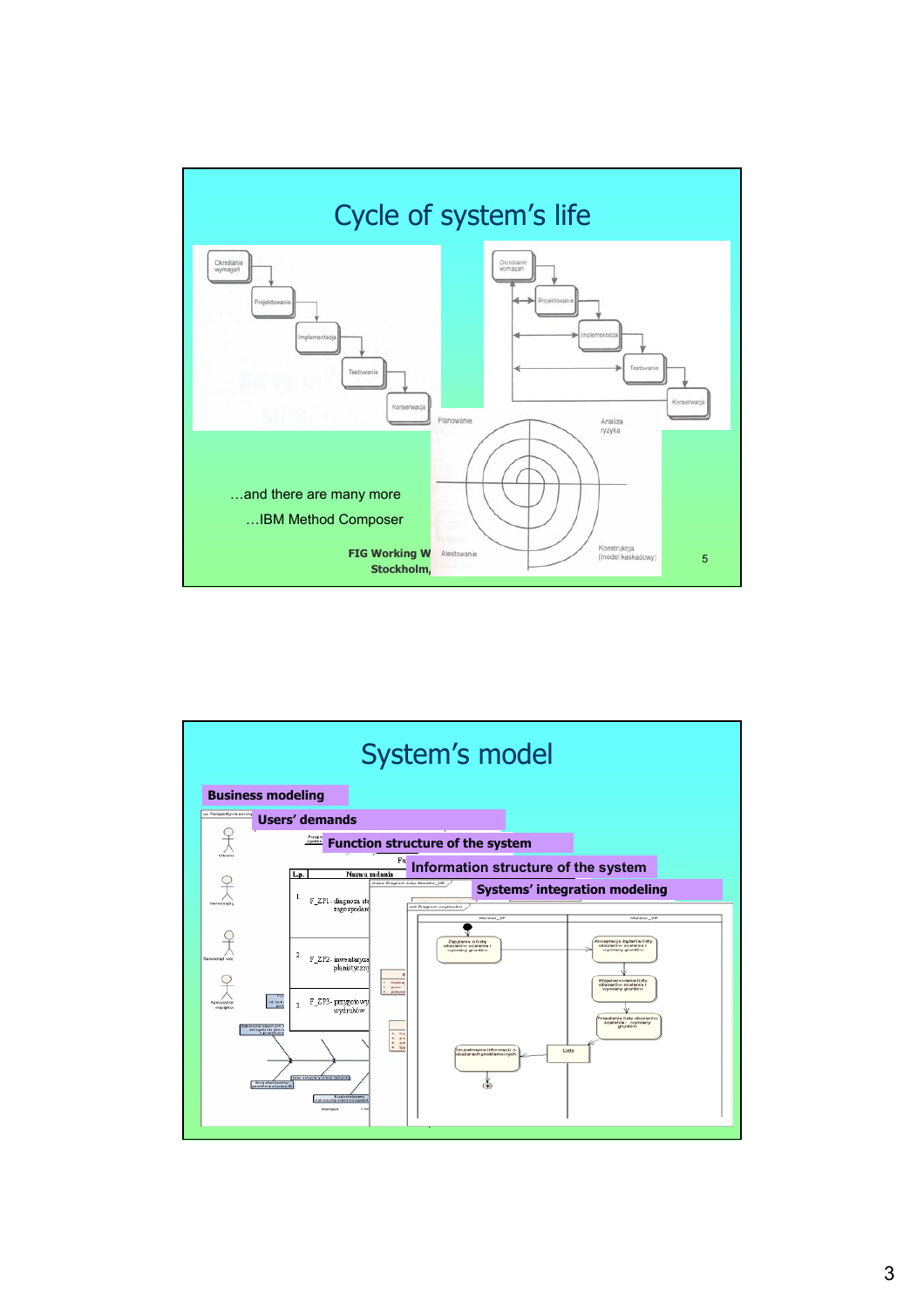

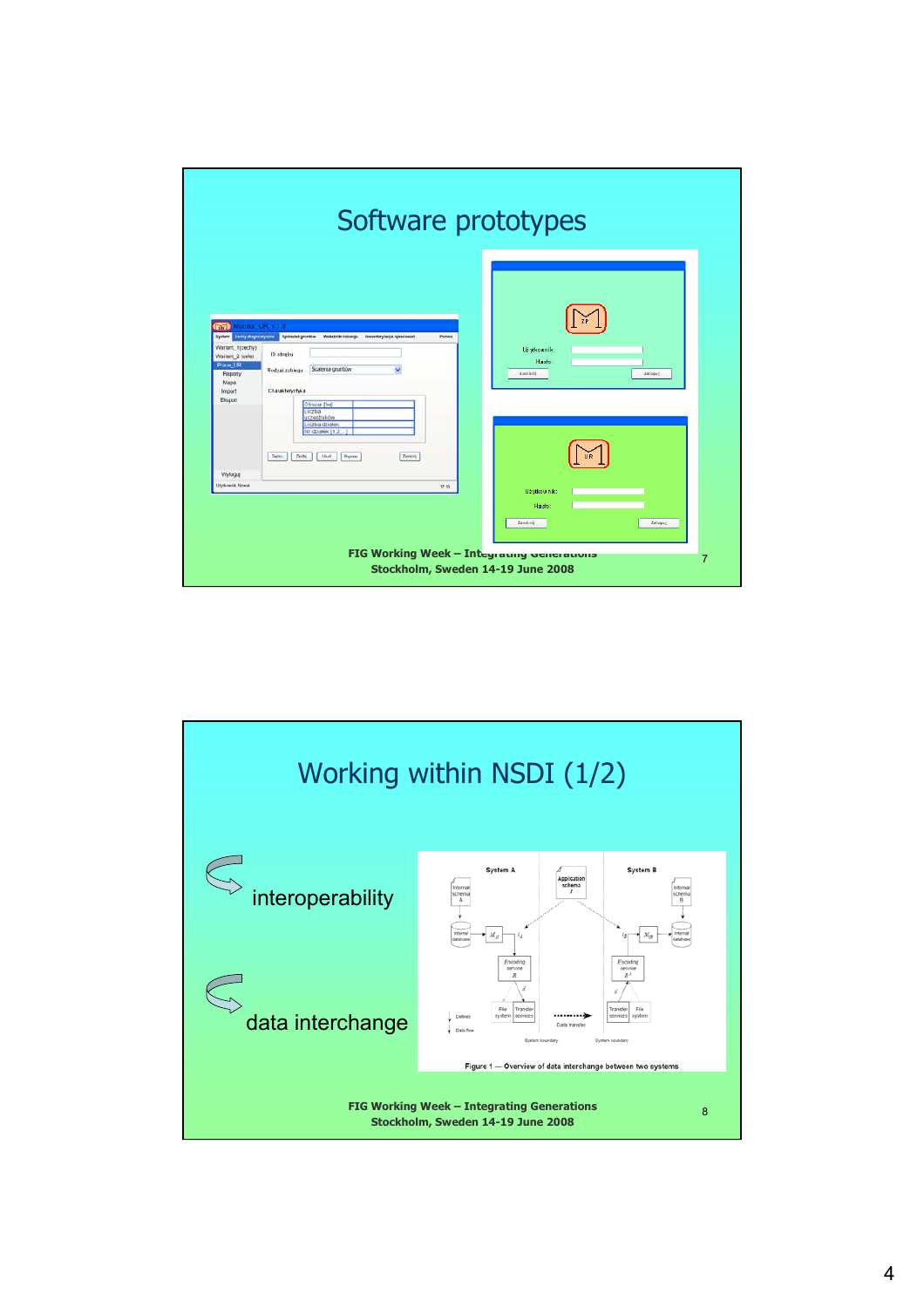

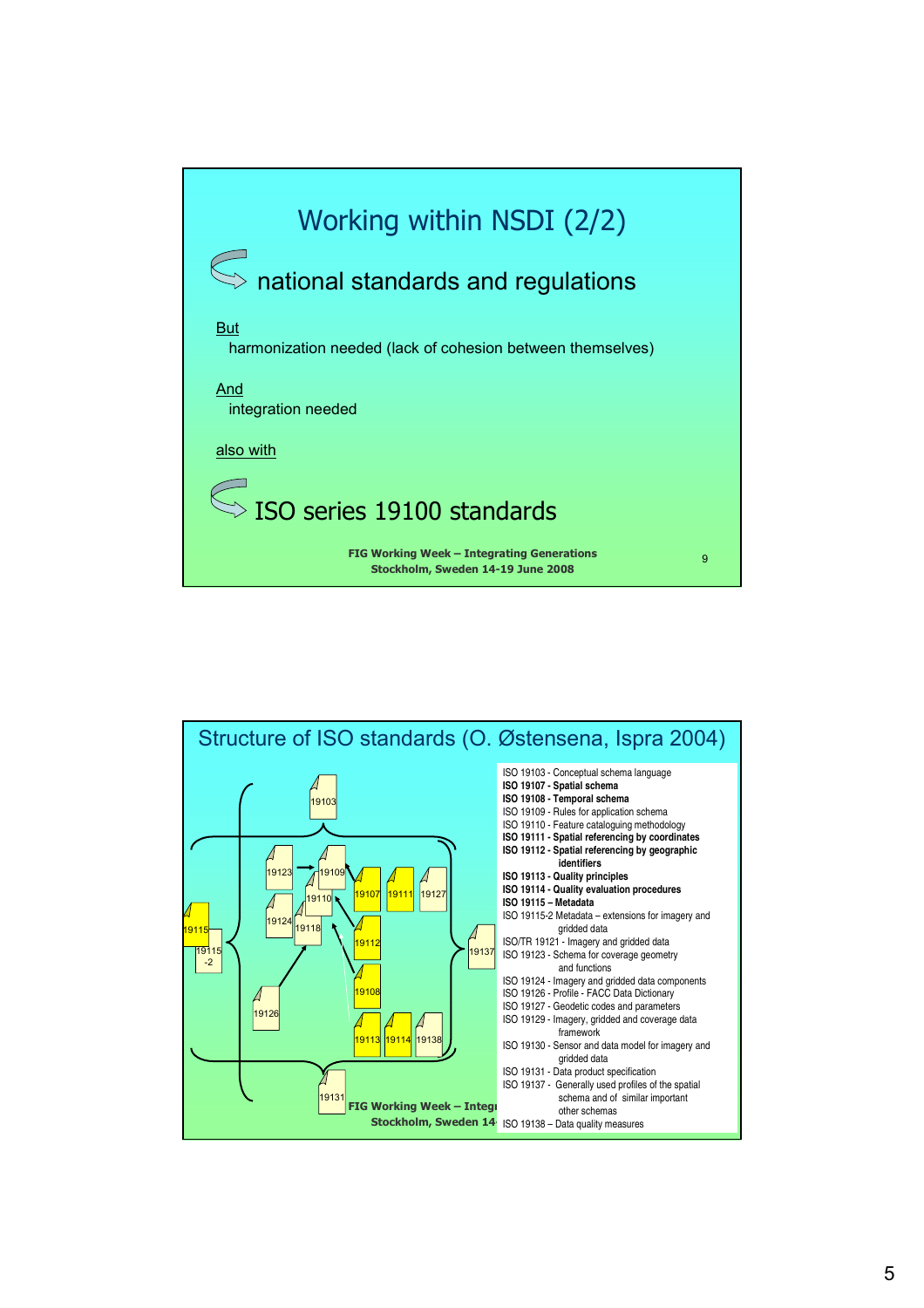

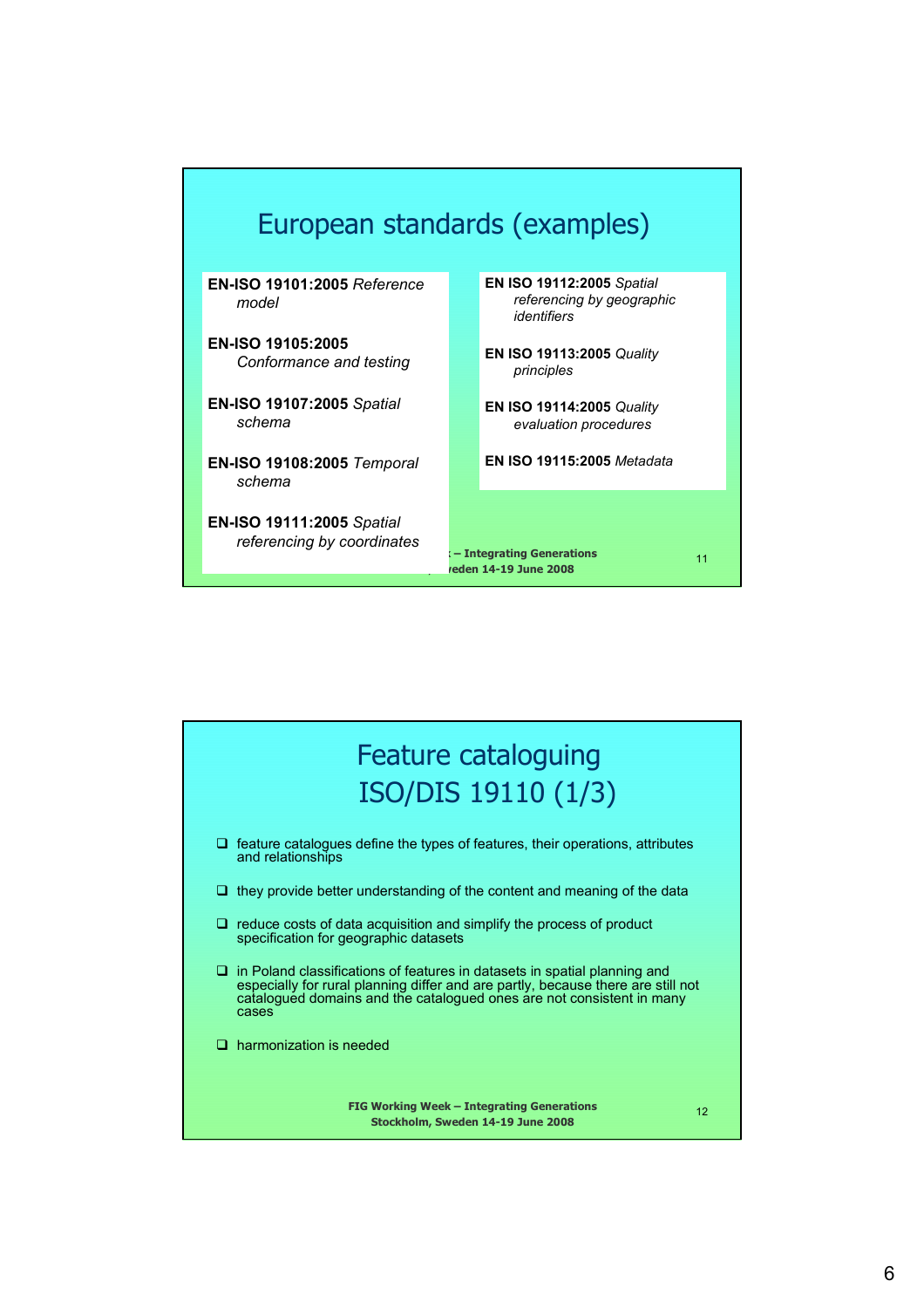

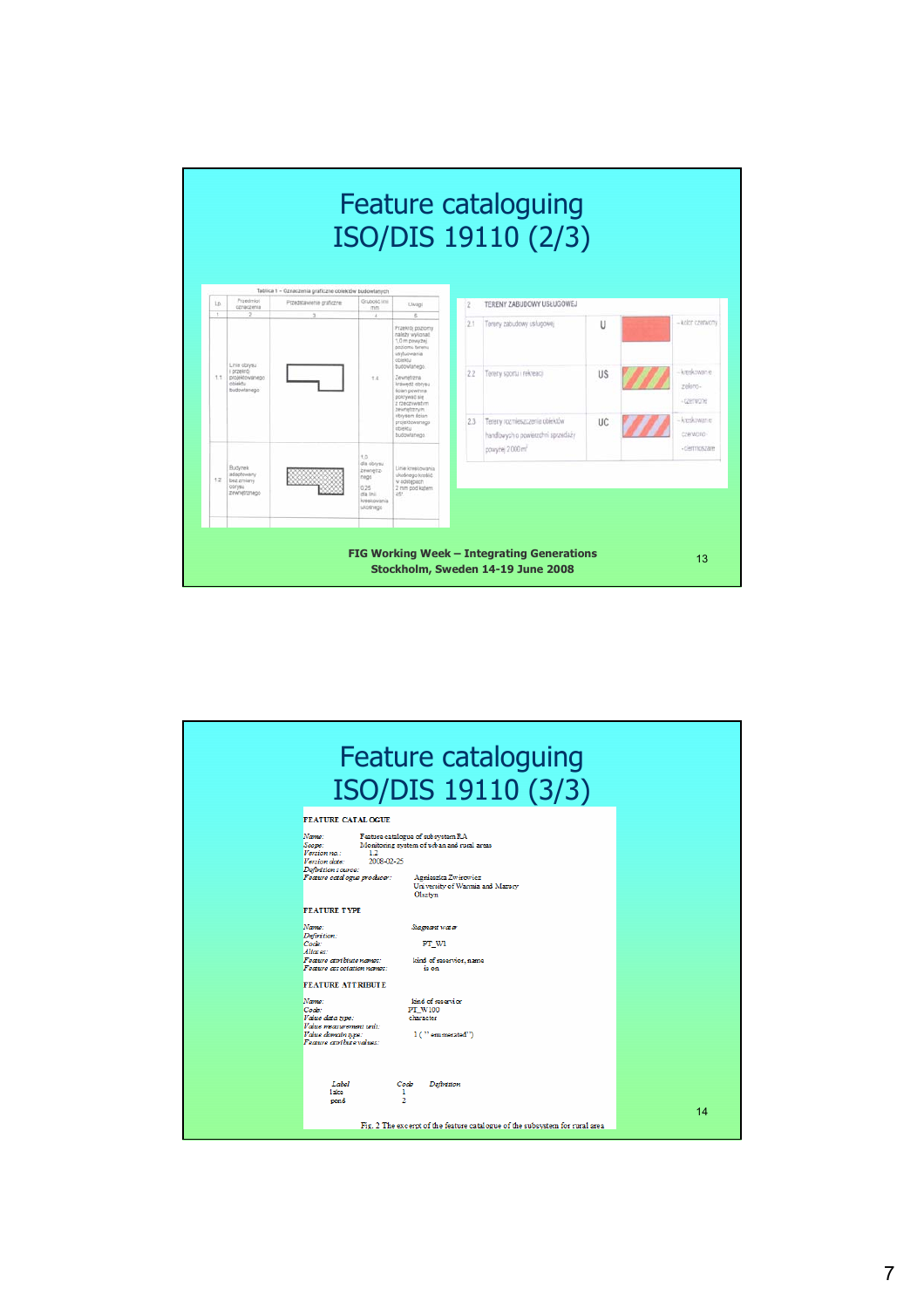

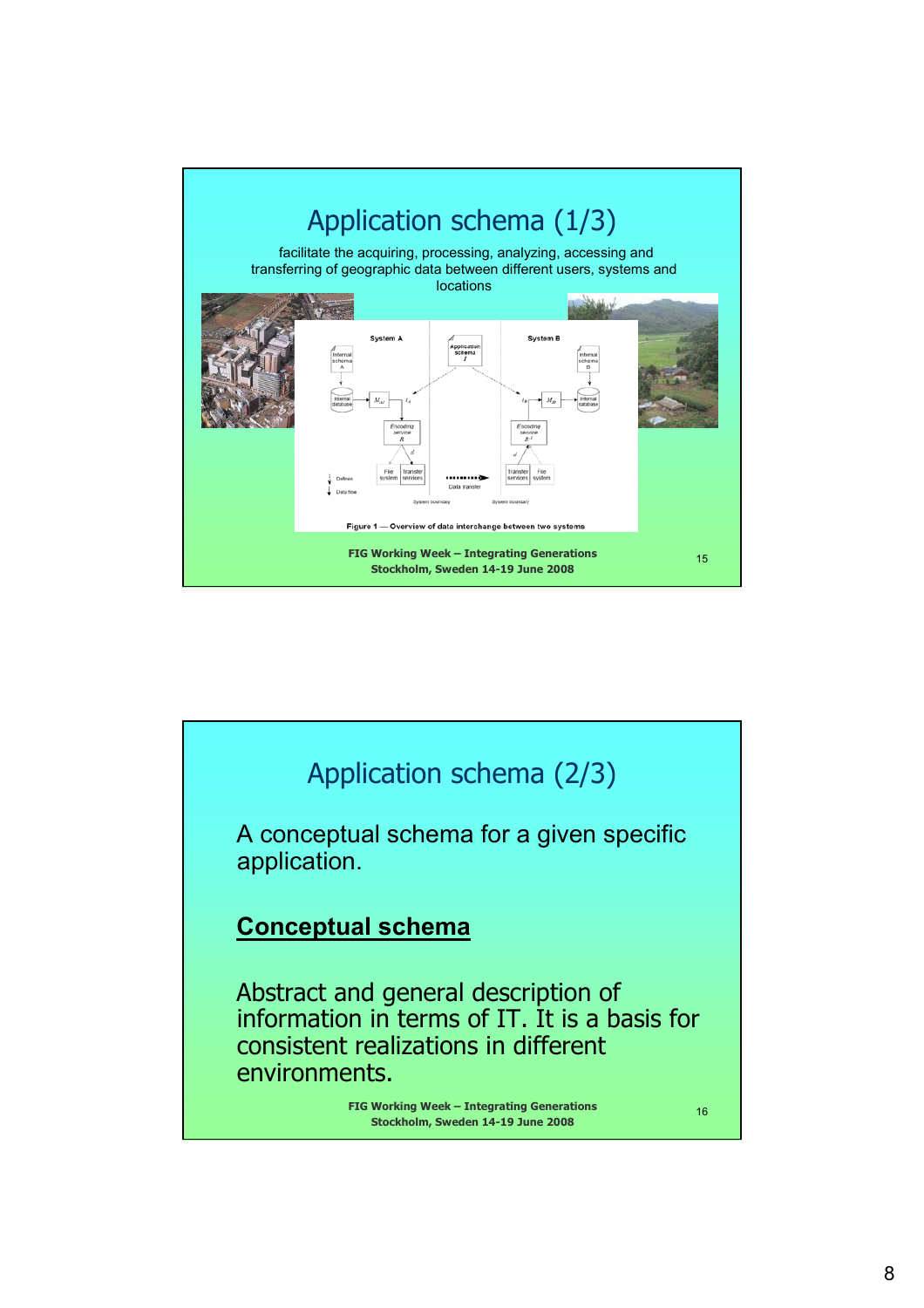

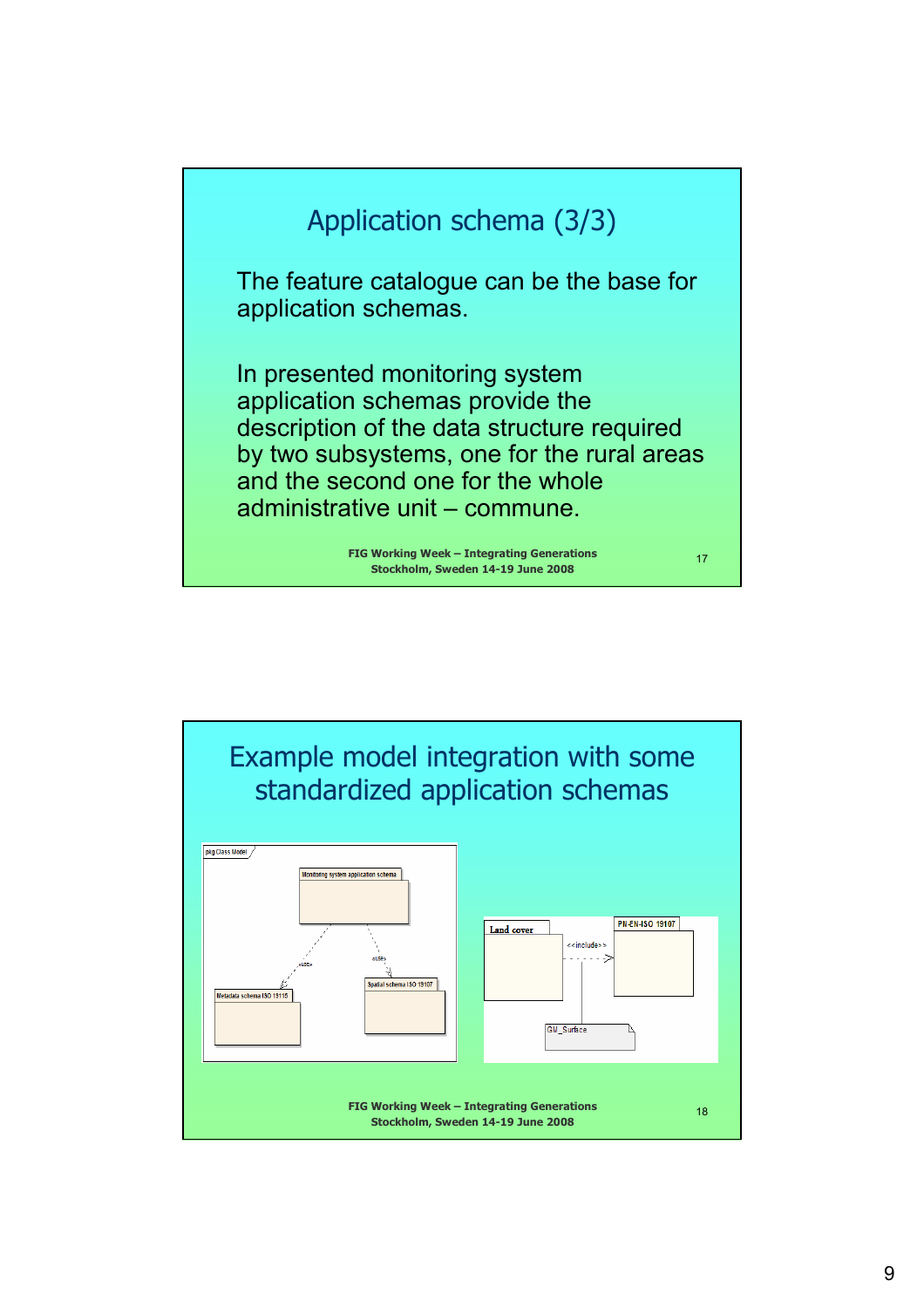